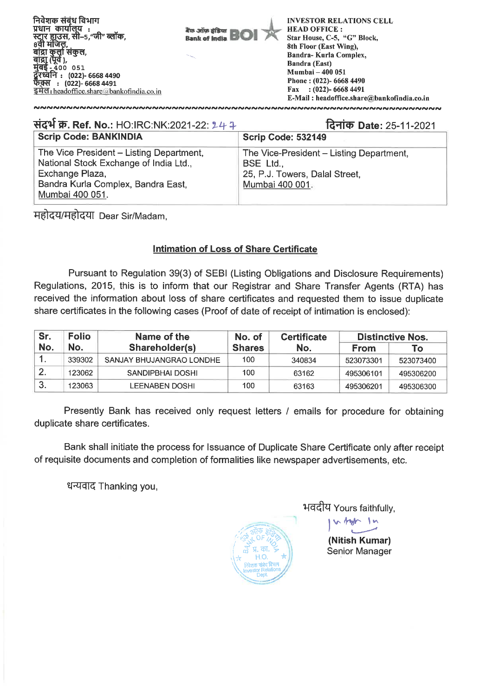

| संदर्भ क्र. Ref. No.: HO:IRC:NK:2021-22: 24 7                                                                                                                  | दिनांक Date: 25-11-2021                                                                                    |  |  |  |  |
|----------------------------------------------------------------------------------------------------------------------------------------------------------------|------------------------------------------------------------------------------------------------------------|--|--|--|--|
| <b>Scrip Code: BANKINDIA</b>                                                                                                                                   | Scrip Code: 532149                                                                                         |  |  |  |  |
| The Vice President - Listing Department,<br>National Stock Exchange of India Ltd.,<br>Exchange Plaza,<br>Bandra Kurla Complex, Bandra East,<br>Mumbai 400 051. | The Vice-President - Listing Department,<br>BSE Ltd.,<br>25, P.J. Towers, Dalal Street,<br>Mumbai 400 001. |  |  |  |  |

महोदय/महोदया Dear Sir/Madam,

#### **Intimation of Loss of Share Certificate**

**Pursuant to** Regulation 39(3) of SEBI (Listing Obligations and Disclosure Requirements) Regulations, 2015, this is to inform that our Registrar and Share Transfer Agents (RTA) has received the information about loss of share certificates and requested them to issue duplicate share certificates in the following cases (Proof of date of receipt of intimation is enclosed):

| Sr.<br><b>Folio</b> |        | Name of the              | No. of        | <b>Certificate</b> | <b>Distinctive Nos.</b> |           |  |
|---------------------|--------|--------------------------|---------------|--------------------|-------------------------|-----------|--|
| No.                 | No.    | Shareholder(s)           | <b>Shares</b> | No.                | <b>From</b>             | Τо        |  |
|                     | 339302 | SANJAY BHUJANGRAO LONDHE | 100           | 340834             | 523073301               | 523073400 |  |
|                     | 123062 | SANDIPBHAI DOSHI         | 100           | 63162              | 495306101               | 495306200 |  |
| 3.                  | 123063 | LEENABEN DOSHI           | 100           | 63163              | 495306201               | 495306300 |  |

Presently Bank has received only request letters / emails for procedure for obtaining duplicate share certificates.

Bank shall initiate the process for Issuance of Duplicate Share Certificate only after receipt of requisite documents and completion of formalities like newspaper advertisements, etc.

धन्यवाद Thanking you,



भवदीय Yours faithfully,

**(Nitish Kumar)**  Senior Manager

 $4.9$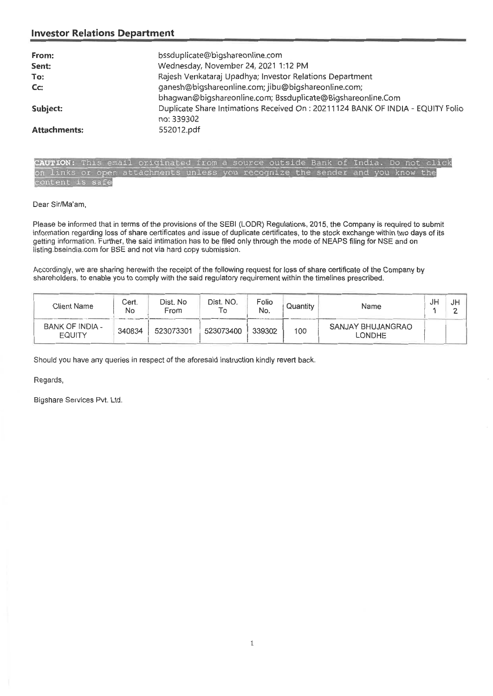#### **Investor Relations Department**

| From:               | bssduplicate@bigshareonline.com                                                                                    |
|---------------------|--------------------------------------------------------------------------------------------------------------------|
| Sent:               | Wednesday, November 24, 2021 1:12 PM                                                                               |
| To:                 | Rajesh Venkataraj Upadhya; Investor Relations Department                                                           |
| Cc                  | ganesh@bigshareonline.com; jibu@bigshareonline.com;<br>bhagwan@bigshareonline.com; Bssduplicate@Bigshareonline.Com |
| Subject:            | Duplicate Share Intimations Received On: 20211124 BANK OF INDIA - EQUITY Folio<br>no: 339302                       |
| <b>Attachments:</b> | 552012.pdf                                                                                                         |

|                 |  | CAUTION: This email originated from a source outside Bank of India. Do not click |  |  |  |  |  |  |
|-----------------|--|----------------------------------------------------------------------------------|--|--|--|--|--|--|
|                 |  | on links or open attachments unless you recognize the sender and you know the    |  |  |  |  |  |  |
| content is safe |  |                                                                                  |  |  |  |  |  |  |

Dear Sir/Ma'am,

Please be informed that in terms of the provisions of the SEBI (LODR) Regulations, 2015, the Company is required to submit information regarding loss of share certificates and issue of duplicate certificates, to the stock exchange within two days of its getting information. Further, the said intimation has to be filed only through the mode of NEAPS filing for NSE and on listing.bseindia.com for BSE and not via hard copy submission.

Accordingly, we are sharing herewith the receipt of the following request for loss of share certificate of the Company by shareholders, to enable you to comply with the said regulatory requirement within the timelines prescribed.

| Client Name                      | Cert.<br>No | Dist. No<br>From | Dist. NO. | Folio<br>No. | Quantity | Name                               | JP | JF |
|----------------------------------|-------------|------------------|-----------|--------------|----------|------------------------------------|----|----|
| BANK OF INDIA -<br><b>EQUITY</b> | 340834      | 523073301        | 523073400 | 339302       | 100      | SANJAY BHUJANGRAO<br><b>LONDHE</b> |    |    |

Should you have any queries in respect of the aforesaid instruction kindly revert back.

Regards,

Bigshare Services Pvt. Ltd.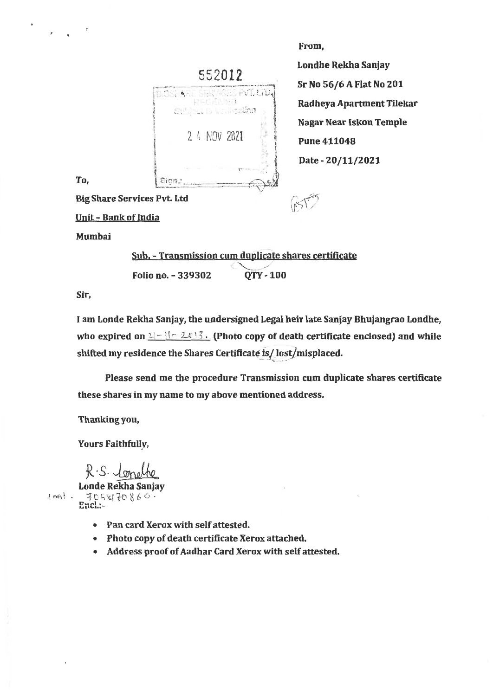# 552012 **OSLARE SERVICE PVILLI** Sulfaulto La Breation 2 4 NOV 2021 Sion.

**Londhe Rekha Sanjay Sr No 56/6 A Flat No 201 Radheya Apartment Tilekar Nagar Near Iskon Temple Pune 411048 Date - 20/11/2021** 

**Big Share Services Pvt. Ltd** 

**Unit - Bank of India** 

**From,** 

**Mumbai** 

**To,** 

**Sub. - Transmission cum duplicate shares certificate Folio no. - 339302 QTY - 100** 

**Sir,** 

**I am Londe Rekha Sanjay, the undersigned Legal heir late Sanjay Bhujangrao Londhe,**  who expired on  $1 - 1 - 2\ell$ <sup>1</sup> **7 (Photo copy of death certificate enclosed) and while shifted my residence the Shares Certificate is/ last/misplaced.** 

**Please send me the procedure Transmission cum duplicate shares certificate these shares in my name to my above mentioned address.** 

**Thanking you,** 

**Yours Faithfully,** 

R.S. Jonethe  $\frac{7058}{7058}$ <sup>7</sup> 8 6 <sup>c</sup>  $\frac{36}{5}$ **Londe Rekha Sanjay** 

- **Pan card Xerox with self attested.**
- **Photo copy of death certificate Xerox attached.**
- **Address proof of Aadhar Card Xerox with self attested.**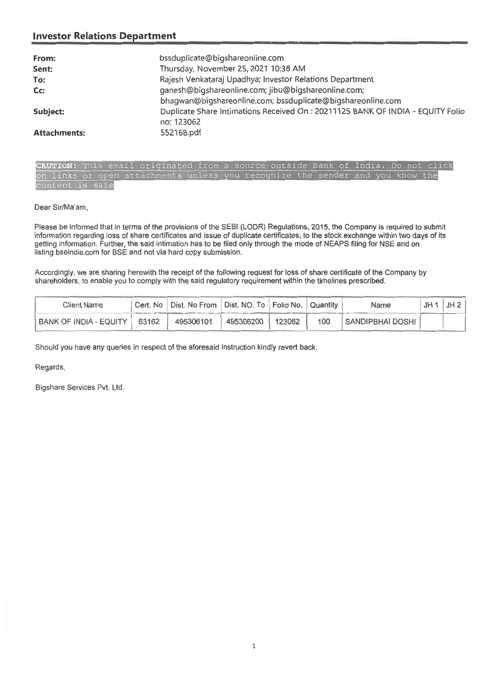#### **Investor Relations Department**

| From:               | bssduplicate@bigshareonline.com                                                 |
|---------------------|---------------------------------------------------------------------------------|
| Sent:               | Thursday, November 25, 2021 10:38 AM                                            |
| To:                 | Rajesh Venkataraj Upadhya; Investor Relations Department                        |
| Cc:                 | ganesh@bigshareonline.com; jibu@bigshareonline.com;                             |
|                     | bhagwan@bigshareonline.com; bssduplicate@bigshareonline.com                     |
| Subject:            | Duplicate Share Intimations Received On : 20211125 BANK OF INDIA - EQUITY Folio |
|                     | no: 123062                                                                      |
| <b>Attachments:</b> | 552168.pdf                                                                      |

**UTION:** This email originated from a source outside Bank of India. Do not click on links or open attachments unless you recognize the sender content is safe

Dear Sir/Ma'am,

Please be informed that in terms of the provisions of the SEBI (LODR) Regulations, 2015, the Company is required to submit information regarding loss of share certificates and issue of duplicate certificates, to the stock exchange within two days of its getting information. Further, the said intimation has to be filed only through the mode of NEAPS filing for NSE and on listing.bseindia.com for BSE and not via hard copy submission.

Accordingly, we are sharing herewith the receipt of the following request for loss of share certificate of the Company by shareholders, to enable you to comply with the said regulatory requirement within the timelines prescribed.

| Client Name              | Cert. No I | Dist. No From   Dist. NO. To   Folio No.   Quantity |           |        |     | Name             | JH2 |
|--------------------------|------------|-----------------------------------------------------|-----------|--------|-----|------------------|-----|
| BANK OF INDIA - EQUITY ! | 63162      | 495306101                                           | 495306200 | 123062 | 100 | SANDIPBHAI DOSHI |     |

Should you have any queries in respect of the aforesaid instruction kindly revert back.

Regards,

Bigshare Services Pvt. Ltd.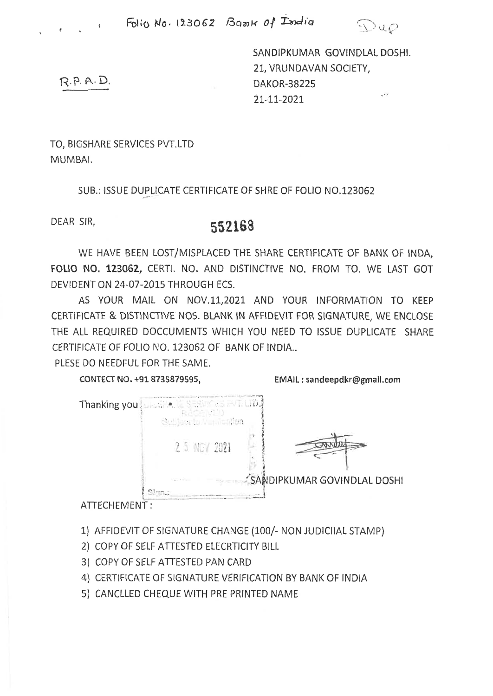

**SANDIPKUMAR GOVINDLAL DOSHI. 21, VRUNDAVAN SOCIETY, DAKOR-38225**   $\mathcal{L}$ **21-11-2021** 

**TO, BIGSHARE SERVICES PVT. LTD MUMBAI.** 

**SUB.: ISSUE DUPLICATE CERTIFICATE OF SHRE OF FOLIO NO.123062** 

## **DEAR SIR, 552168**

**WE HAVE BEEN LOST/MISPLACED THE SHARE CERTIFICATE OF BANK OF INDA, FOLIO NO. 123062, CERTI. NO. AND DISTINCTIVE NO. FROM TO. WE LAST GOT DEVIDENT ON 24-07-2015 THROUGH ECS.** 

**AS YOUR MAIL ON NOV.11,2021 AND YOUR INFORMATION TO KEEP CERTIFICATE & DISTINCTIVE NOS. BLANK IN AFFIDEVIT FOR SIGNATURE, WE ENCLOSE THE ALL REQUIRED DOCCUMENTS WHICH YOU NEED TO ISSUE DUPLICATE SHARE CERTIFICATE OF FOLIO NO. 123062 OF BANK OF INDIA..** 

**PLESE DO NEEDFUL FOR THE SAME.** 

**CONTECT NO. +91 8735879595,** 

**EMAIL : sandeepdkr@gmail.com** 



**ATTECHEM ENT :** 

**1) AFFIDEVIT OF SIGNATURE CHANGE (100/- NON JUDICIIAL STAMP)** 

**2) COPY OF SELF ATTESTED ELECRTICITY BILL** 

**3) COPY OF SELF ATTESTED PAN CARD** 

**4) CERTIFICATE OF SIGNATURE VERIFICATION BY BANK OF INDIA** 

**5) CANCLLED CHEQUE WITH PRE PRINTED NAME** 

**R•D•**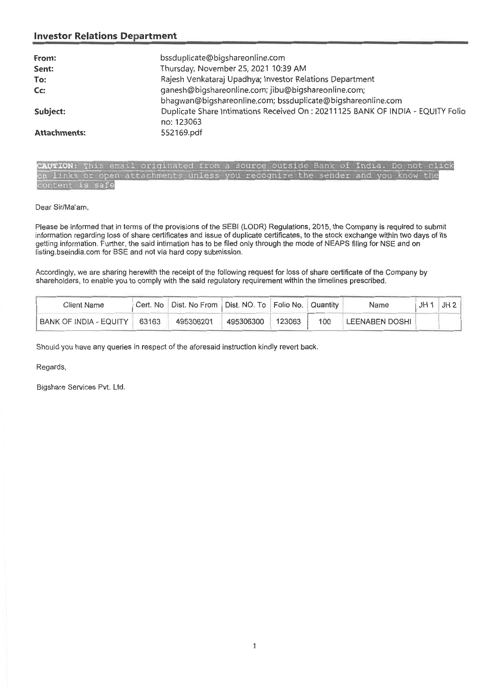#### **Investor Relations Department**

| bssduplicate@bigshareonline.com                                                |
|--------------------------------------------------------------------------------|
| Thursday, November 25, 2021 10:39 AM                                           |
| Rajesh Venkataraj Upadhya; Investor Relations Department                       |
| ganesh@bigshareonline.com; jibu@bigshareonline.com;                            |
| bhagwan@bigshareonline.com; bssduplicate@bigshareonline.com                    |
| Duplicate Share Intimations Received On: 20211125 BANK OF INDIA - EQUITY Folio |
| no: 123063                                                                     |
| 552169.pdf                                                                     |
|                                                                                |

 $click$ CAUTION: This email originated from a source outside Bank India.  $D^{\circ}$ not. on links or open content is safe

Dear Sir/Ma'am,

Please be informed that in terms of the provisions of the SEBI (LODR) Regulations, 2015, the Company is required to submit information regarding loss of share certificates and issue of duplicate certificates, to the stock exchange within two days of its getting information. Further, the said intimation has to be filed only through the mode of NEAPS filing for NSE and on listing.bseindia.com for BSE and not via hard copy submission.

Accordingly, we are sharing herewith the receipt of the following request for loss of share certificate of the Company by shareholders, to enable you to comply with the said regulatory requirement within the timelines prescribed.

| Client Name            |       | Cert. No   Dist. No From   Dist. NO. To   Folio No. |           |        | Quantity | Name           | JH2 |
|------------------------|-------|-----------------------------------------------------|-----------|--------|----------|----------------|-----|
| BANK OF INDIA - EQUITY | 63163 | 495306201                                           | 495306300 | 123063 | 100      | LEENABEN DOSHI |     |

Should you have any queries in respect of the aforesaid instruction kindly revert back.

Regards,

Bigshare Services Pvt. Ltd.